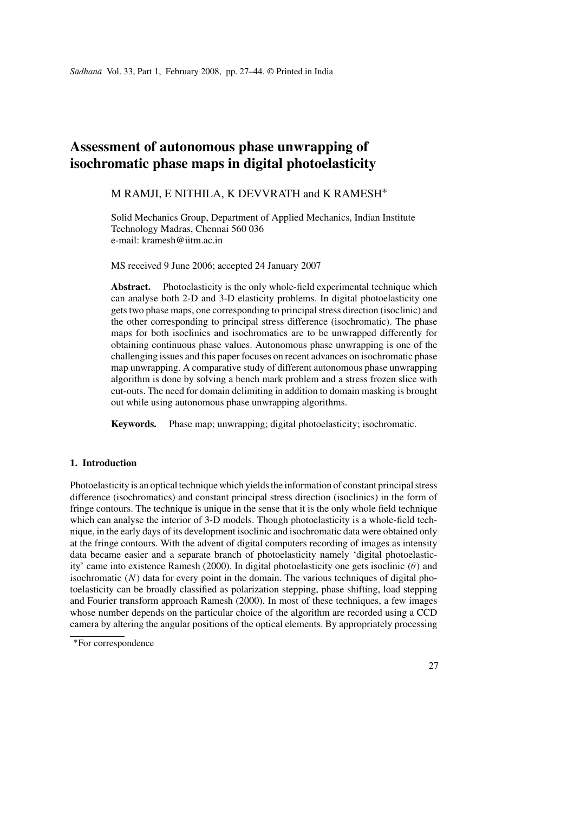# **Assessment of autonomous phase unwrapping of isochromatic phase maps in digital photoelasticity**

## M RAMJI, E NITHILA, K DEVVRATH and K RAMESH<sup>∗</sup>

Solid Mechanics Group, Department of Applied Mechanics, Indian Institute Technology Madras, Chennai 560 036 e-mail: kramesh@iitm.ac.in

MS received 9 June 2006; accepted 24 January 2007

**Abstract.** Photoelasticity is the only whole-field experimental technique which can analyse both 2-D and 3-D elasticity problems. In digital photoelasticity one gets two phase maps, one corresponding to principal stress direction (isoclinic) and the other corresponding to principal stress difference (isochromatic). The phase maps for both isoclinics and isochromatics are to be unwrapped differently for obtaining continuous phase values. Autonomous phase unwrapping is one of the challenging issues and this paper focuses on recent advances on isochromatic phase map unwrapping. A comparative study of different autonomous phase unwrapping algorithm is done by solving a bench mark problem and a stress frozen slice with cut-outs. The need for domain delimiting in addition to domain masking is brought out while using autonomous phase unwrapping algorithms.

**Keywords.** Phase map; unwrapping; digital photoelasticity; isochromatic.

### **1. Introduction**

Photoelasticity is an optical technique which yields the information of constant principal stress difference (isochromatics) and constant principal stress direction (isoclinics) in the form of fringe contours. The technique is unique in the sense that it is the only whole field technique which can analyse the interior of 3-D models. Though photoelasticity is a whole-field technique, in the early days of its development isoclinic and isochromatic data were obtained only at the fringe contours. With the advent of digital computers recording of images as intensity data became easier and a separate branch of photoelasticity namely 'digital photoelasticity' came into existence Ramesh (2000). In digital photoelasticity one gets isoclinic  $(\theta)$  and isochromatic  $(N)$  data for every point in the domain. The various techniques of digital photoelasticity can be broadly classified as polarization stepping, phase shifting, load stepping and Fourier transform approach Ramesh (2000). In most of these techniques, a few images whose number depends on the particular choice of the algorithm are recorded using a CCD camera by altering the angular positions of the optical elements. By appropriately processing

<sup>∗</sup>For correspondence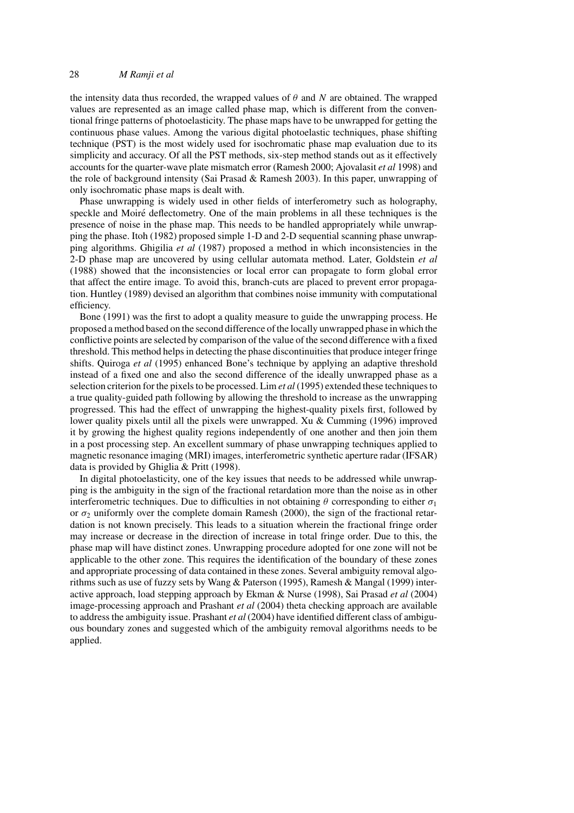the intensity data thus recorded, the wrapped values of  $\theta$  and N are obtained. The wrapped values are represented as an image called phase map, which is different from the conventional fringe patterns of photoelasticity. The phase maps have to be unwrapped for getting the continuous phase values. Among the various digital photoelastic techniques, phase shifting technique (PST) is the most widely used for isochromatic phase map evaluation due to its simplicity and accuracy. Of all the PST methods, six-step method stands out as it effectively accounts for the quarter-wave plate mismatch error (Ramesh 2000; Ajovalasit *et al* 1998) and the role of background intensity (Sai Prasad & Ramesh 2003). In this paper, unwrapping of only isochromatic phase maps is dealt with.

Phase unwrapping is widely used in other fields of interferometry such as holography, speckle and Moiré deflectometry. One of the main problems in all these techniques is the presence of noise in the phase map. This needs to be handled appropriately while unwrapping the phase. Itoh (1982) proposed simple 1-D and 2-D sequential scanning phase unwrapping algorithms. Ghigilia *et al* (1987) proposed a method in which inconsistencies in the 2-D phase map are uncovered by using cellular automata method. Later, Goldstein *et al* (1988) showed that the inconsistencies or local error can propagate to form global error that affect the entire image. To avoid this, branch-cuts are placed to prevent error propagation. Huntley (1989) devised an algorithm that combines noise immunity with computational efficiency.

Bone (1991) was the first to adopt a quality measure to guide the unwrapping process. He proposed a method based on the second difference of the locally unwrapped phase in which the conflictive points are selected by comparison of the value of the second difference with a fixed threshold. This method helps in detecting the phase discontinuities that produce integer fringe shifts. Quiroga *et al* (1995) enhanced Bone's technique by applying an adaptive threshold instead of a fixed one and also the second difference of the ideally unwrapped phase as a selection criterion for the pixels to be processed. Lim *et al* (1995) extended these techniques to a true quality-guided path following by allowing the threshold to increase as the unwrapping progressed. This had the effect of unwrapping the highest-quality pixels first, followed by lower quality pixels until all the pixels were unwrapped. Xu  $&$  Cumming (1996) improved it by growing the highest quality regions independently of one another and then join them in a post processing step. An excellent summary of phase unwrapping techniques applied to magnetic resonance imaging (MRI) images, interferometric synthetic aperture radar (IFSAR) data is provided by Ghiglia & Pritt (1998).

In digital photoelasticity, one of the key issues that needs to be addressed while unwrapping is the ambiguity in the sign of the fractional retardation more than the noise as in other interferometric techniques. Due to difficulties in not obtaining  $\theta$  corresponding to either  $\sigma_1$ or  $\sigma_2$  uniformly over the complete domain Ramesh (2000), the sign of the fractional retardation is not known precisely. This leads to a situation wherein the fractional fringe order may increase or decrease in the direction of increase in total fringe order. Due to this, the phase map will have distinct zones. Unwrapping procedure adopted for one zone will not be applicable to the other zone. This requires the identification of the boundary of these zones and appropriate processing of data contained in these zones. Several ambiguity removal algorithms such as use of fuzzy sets by Wang & Paterson (1995), Ramesh & Mangal (1999) interactive approach, load stepping approach by Ekman & Nurse (1998), Sai Prasad *et al* (2004) image-processing approach and Prashant *et al* (2004) theta checking approach are available to address the ambiguity issue. Prashant *et al* (2004) have identified different class of ambiguous boundary zones and suggested which of the ambiguity removal algorithms needs to be applied.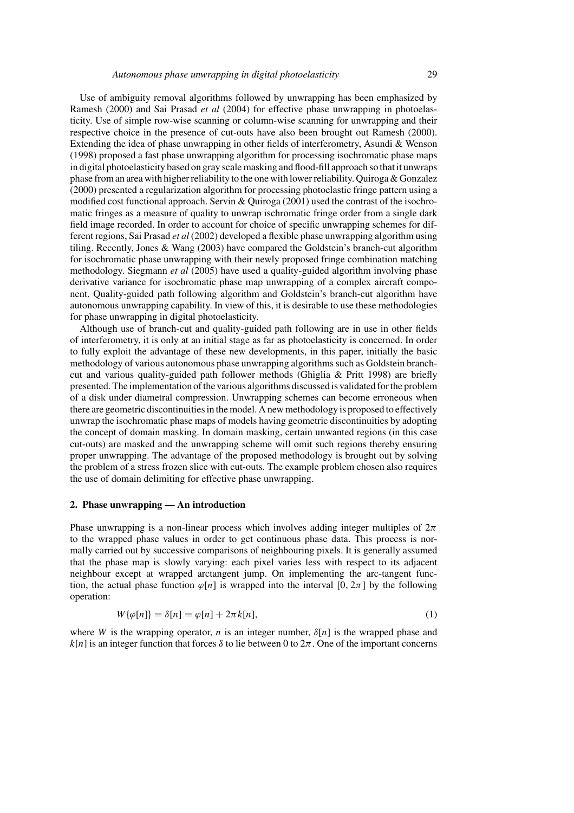Use of ambiguity removal algorithms followed by unwrapping has been emphasized by Ramesh (2000) and Sai Prasad *et al* (2004) for effective phase unwrapping in photoelasticity. Use of simple row-wise scanning or column-wise scanning for unwrapping and their respective choice in the presence of cut-outs have also been brought out Ramesh (2000). Extending the idea of phase unwrapping in other fields of interferometry, Asundi & Wenson (1998) proposed a fast phase unwrapping algorithm for processing isochromatic phase maps in digital photoelasticity based on gray scale masking and flood-fill approach so that it unwraps phase from an area with higher reliability to the one with lower reliability. Quiroga & Gonzalez (2000) presented a regularization algorithm for processing photoelastic fringe pattern using a modified cost functional approach. Servin & Quiroga (2001) used the contrast of the isochromatic fringes as a measure of quality to unwrap ischromatic fringe order from a single dark field image recorded. In order to account for choice of specific unwrapping schemes for different regions, Sai Prasad *et al* (2002) developed a flexible phase unwrapping algorithm using tiling. Recently, Jones & Wang (2003) have compared the Goldstein's branch-cut algorithm for isochromatic phase unwrapping with their newly proposed fringe combination matching methodology. Siegmann *et al* (2005) have used a quality-guided algorithm involving phase derivative variance for isochromatic phase map unwrapping of a complex aircraft component. Quality-guided path following algorithm and Goldstein's branch-cut algorithm have autonomous unwrapping capability. In view of this, it is desirable to use these methodologies for phase unwrapping in digital photoelasticity.

Although use of branch-cut and quality-guided path following are in use in other fields of interferometry, it is only at an initial stage as far as photoelasticity is concerned. In order to fully exploit the advantage of these new developments, in this paper, initially the basic methodology of various autonomous phase unwrapping algorithms such as Goldstein branchcut and various quality-guided path follower methods (Ghiglia & Pritt 1998) are briefly presented. The implementation of the various algorithms discussed is validated for the problem of a disk under diametral compression. Unwrapping schemes can become erroneous when there are geometric discontinuities in the model. A new methodology is proposed to effectively unwrap the isochromatic phase maps of models having geometric discontinuities by adopting the concept of domain masking. In domain masking, certain unwanted regions (in this case cut-outs) are masked and the unwrapping scheme will omit such regions thereby ensuring proper unwrapping. The advantage of the proposed methodology is brought out by solving the problem of a stress frozen slice with cut-outs. The example problem chosen also requires the use of domain delimiting for effective phase unwrapping.

#### **2. Phase unwrapping — An introduction**

Phase unwrapping is a non-linear process which involves adding integer multiples of  $2\pi$ to the wrapped phase values in order to get continuous phase data. This process is normally carried out by successive comparisons of neighbouring pixels. It is generally assumed that the phase map is slowly varying: each pixel varies less with respect to its adjacent neighbour except at wrapped arctangent jump. On implementing the arc-tangent function, the actual phase function  $\varphi[n]$  is wrapped into the interval [0,  $2\pi$ ] by the following operation:

$$
W\{\varphi[n]\} = \delta[n] = \varphi[n] + 2\pi k[n],\tag{1}
$$

where W is the wrapping operator, n is an integer number,  $\delta[n]$  is the wrapped phase and  $k[n]$  is an integer function that forces  $\delta$  to lie between 0 to  $2\pi$ . One of the important concerns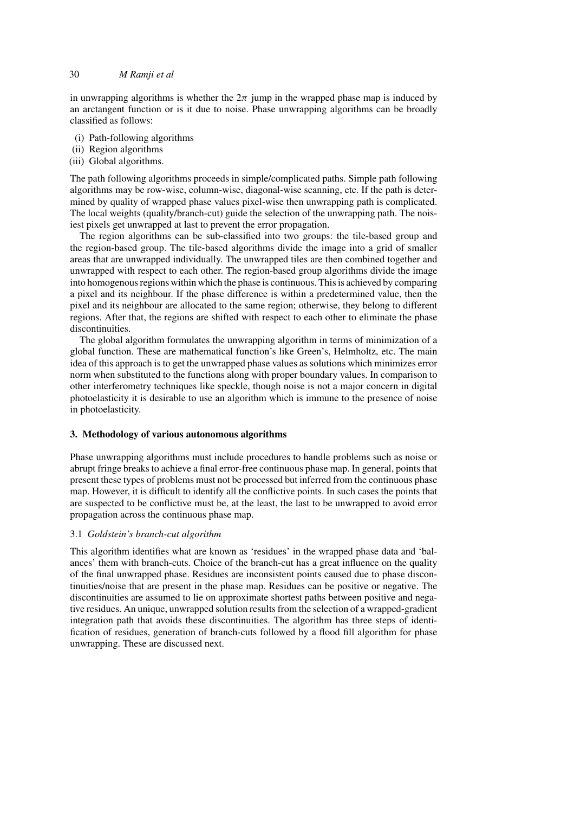### 30 *M Ramji et al*

in unwrapping algorithms is whether the  $2\pi$  jump in the wrapped phase map is induced by an arctangent function or is it due to noise. Phase unwrapping algorithms can be broadly classified as follows:

- (i) Path-following algorithms
- (ii) Region algorithms
- (iii) Global algorithms.

The path following algorithms proceeds in simple/complicated paths. Simple path following algorithms may be row-wise, column-wise, diagonal-wise scanning, etc. If the path is determined by quality of wrapped phase values pixel-wise then unwrapping path is complicated. The local weights (quality/branch-cut) guide the selection of the unwrapping path. The noisiest pixels get unwrapped at last to prevent the error propagation.

The region algorithms can be sub-classified into two groups: the tile-based group and the region-based group. The tile-based algorithms divide the image into a grid of smaller areas that are unwrapped individually. The unwrapped tiles are then combined together and unwrapped with respect to each other. The region-based group algorithms divide the image into homogenous regions within which the phase is continuous. This is achieved by comparing a pixel and its neighbour. If the phase difference is within a predetermined value, then the pixel and its neighbour are allocated to the same region; otherwise, they belong to different regions. After that, the regions are shifted with respect to each other to eliminate the phase discontinuities.

The global algorithm formulates the unwrapping algorithm in terms of minimization of a global function. These are mathematical function's like Green's, Helmholtz, etc. The main idea of this approach is to get the unwrapped phase values as solutions which minimizes error norm when substituted to the functions along with proper boundary values. In comparison to other interferometry techniques like speckle, though noise is not a major concern in digital photoelasticity it is desirable to use an algorithm which is immune to the presence of noise in photoelasticity.

### **3. Methodology of various autonomous algorithms**

Phase unwrapping algorithms must include procedures to handle problems such as noise or abrupt fringe breaks to achieve a final error-free continuous phase map. In general, points that present these types of problems must not be processed but inferred from the continuous phase map. However, it is difficult to identify all the conflictive points. In such cases the points that are suspected to be conflictive must be, at the least, the last to be unwrapped to avoid error propagation across the continuous phase map.

### 3.1 *Goldstein's branch-cut algorithm*

This algorithm identifies what are known as 'residues' in the wrapped phase data and 'balances' them with branch-cuts. Choice of the branch-cut has a great influence on the quality of the final unwrapped phase. Residues are inconsistent points caused due to phase discontinuities/noise that are present in the phase map. Residues can be positive or negative. The discontinuities are assumed to lie on approximate shortest paths between positive and negative residues. An unique, unwrapped solution results from the selection of a wrapped-gradient integration path that avoids these discontinuities. The algorithm has three steps of identification of residues, generation of branch-cuts followed by a flood fill algorithm for phase unwrapping. These are discussed next.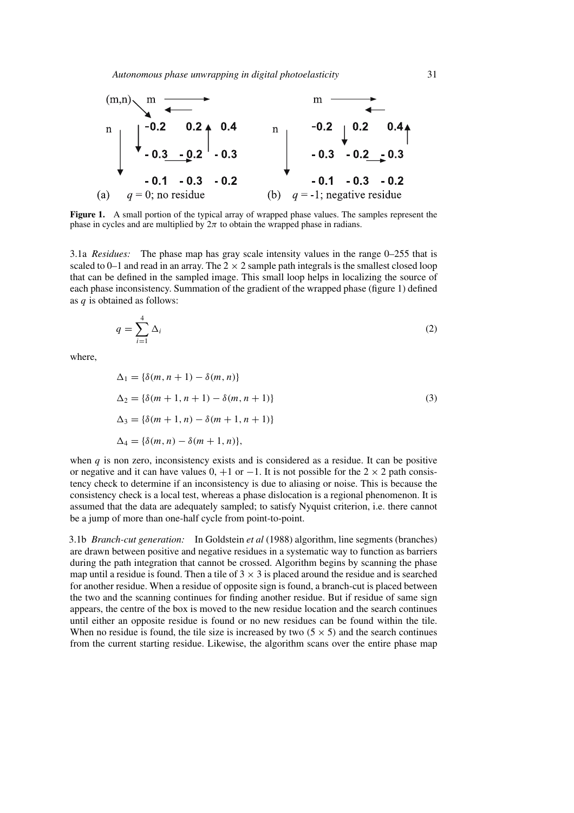

**Figure 1.** A small portion of the typical array of wrapped phase values. The samples represent the phase in cycles and are multiplied by  $2\pi$  to obtain the wrapped phase in radians.

3.1a *Residues:* The phase map has gray scale intensity values in the range 0–255 that is scaled to 0–1 and read in an array. The  $2 \times 2$  sample path integrals is the smallest closed loop that can be defined in the sampled image. This small loop helps in localizing the source of each phase inconsistency. Summation of the gradient of the wrapped phase (figure 1) defined as  $q$  is obtained as follows:

$$
q = \sum_{i=1}^{4} \Delta_i
$$
 (2)

where,

$$
\Delta_1 = {\delta(m, n + 1) - \delta(m, n)}
$$
  
\n
$$
\Delta_2 = {\delta(m + 1, n + 1) - \delta(m, n + 1)}
$$
  
\n
$$
\Delta_3 = {\delta(m + 1, n) - \delta(m + 1, n + 1)}
$$
  
\n
$$
\Delta_4 = {\delta(m, n) - \delta(m + 1, n)},
$$
\n(3)

when  $q$  is non zero, inconsistency exists and is considered as a residue. It can be positive or negative and it can have values  $0, +1$  or  $-1$ . It is not possible for the 2  $\times$  2 path consistency check to determine if an inconsistency is due to aliasing or noise. This is because the consistency check is a local test, whereas a phase dislocation is a regional phenomenon. It is assumed that the data are adequately sampled; to satisfy Nyquist criterion, i.e. there cannot be a jump of more than one-half cycle from point-to-point.

3.1b *Branch-cut generation:* In Goldstein *et al* (1988) algorithm, line segments (branches) are drawn between positive and negative residues in a systematic way to function as barriers during the path integration that cannot be crossed. Algorithm begins by scanning the phase map until a residue is found. Then a tile of  $3 \times 3$  is placed around the residue and is searched for another residue. When a residue of opposite sign is found, a branch-cut is placed between the two and the scanning continues for finding another residue. But if residue of same sign appears, the centre of the box is moved to the new residue location and the search continues until either an opposite residue is found or no new residues can be found within the tile. When no residue is found, the tile size is increased by two  $(5 \times 5)$  and the search continues from the current starting residue. Likewise, the algorithm scans over the entire phase map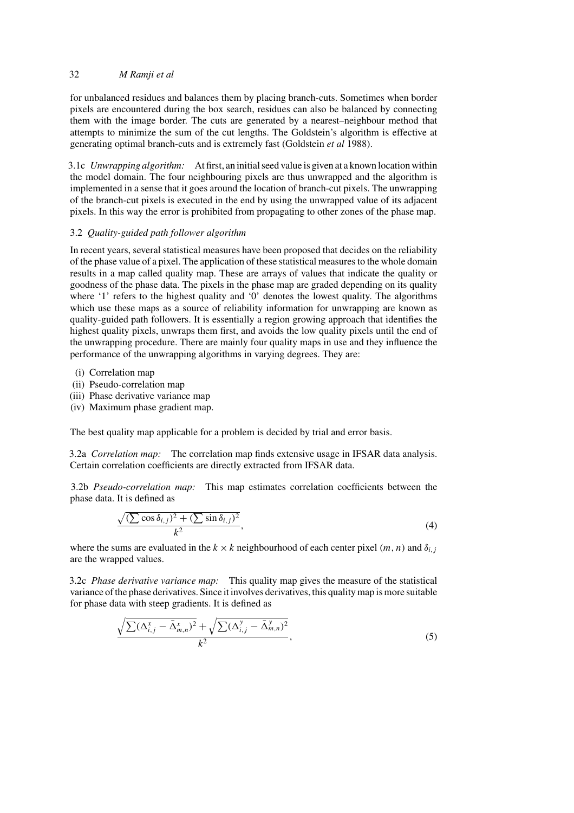### 32 *M Ramji et al*

for unbalanced residues and balances them by placing branch-cuts. Sometimes when border pixels are encountered during the box search, residues can also be balanced by connecting them with the image border. The cuts are generated by a nearest–neighbour method that attempts to minimize the sum of the cut lengths. The Goldstein's algorithm is effective at generating optimal branch-cuts and is extremely fast (Goldstein *et al* 1988).

3.1c *Unwrapping algorithm:* At first, an initial seed value is given at a known location within the model domain. The four neighbouring pixels are thus unwrapped and the algorithm is implemented in a sense that it goes around the location of branch-cut pixels. The unwrapping of the branch-cut pixels is executed in the end by using the unwrapped value of its adjacent pixels. In this way the error is prohibited from propagating to other zones of the phase map.

### 3.2 *Quality-guided path follower algorithm*

In recent years, several statistical measures have been proposed that decides on the reliability of the phase value of a pixel. The application of these statistical measures to the whole domain results in a map called quality map. These are arrays of values that indicate the quality or goodness of the phase data. The pixels in the phase map are graded depending on its quality where '1' refers to the highest quality and '0' denotes the lowest quality. The algorithms which use these maps as a source of reliability information for unwrapping are known as quality-guided path followers. It is essentially a region growing approach that identifies the highest quality pixels, unwraps them first, and avoids the low quality pixels until the end of the unwrapping procedure. There are mainly four quality maps in use and they influence the performance of the unwrapping algorithms in varying degrees. They are:

- (i) Correlation map
- (ii) Pseudo-correlation map
- (iii) Phase derivative variance map
- (iv) Maximum phase gradient map.

The best quality map applicable for a problem is decided by trial and error basis.

3.2a *Correlation map:* The correlation map finds extensive usage in IFSAR data analysis. Certain correlation coefficients are directly extracted from IFSAR data.

3.2b *Pseudo-correlation map:* This map estimates correlation coefficients between the phase data. It is defined as

$$
\frac{\sqrt{(\sum \cos \delta_{i,j})^2 + (\sum \sin \delta_{i,j})^2}}{k^2},
$$
\n(4)

where the sums are evaluated in the  $k \times k$  neighbourhood of each center pixel  $(m, n)$  and  $\delta_{i,j}$ <br>are the wranned values are the wrapped values.

3.2c *Phase derivative variance map:* This quality map gives the measure of the statistical variance of the phase derivatives. Since it involves derivatives, this quality map is more suitable for phase data with steep gradients. It is defined as

$$
\frac{\sqrt{\sum (\Delta_{i,j}^x - \bar{\Delta}_{m,n}^x)^2} + \sqrt{\sum (\Delta_{i,j}^y - \bar{\Delta}_{m,n}^y)^2}}{k^2},
$$
\n(5)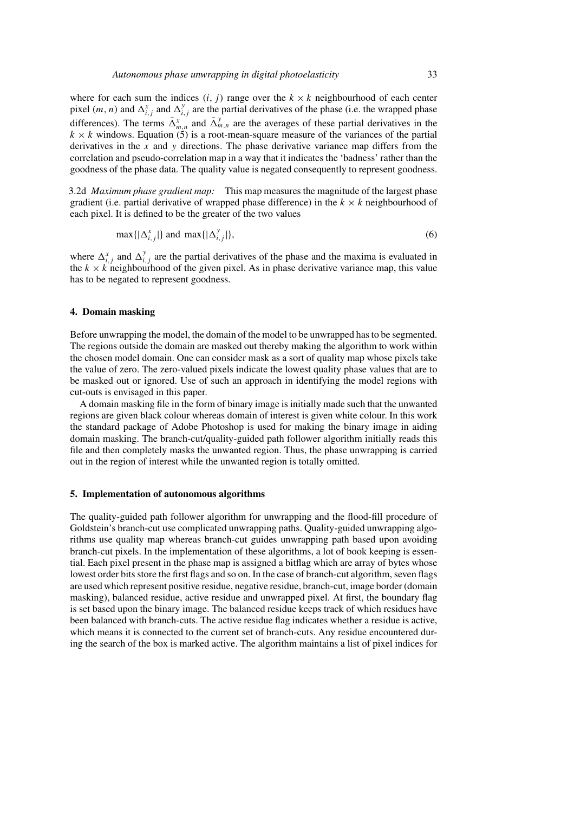where for each sum the indices  $(i, j)$  range over the  $k \times k$  neighbourhood of each center pixel  $(m, n)$  and  $\Delta_{i,j}^x$  and  $\Delta_{i,j}^y$  are the partial derivatives of the phase (i.e. the wrapped phase<br>differences). The terms  $\bar{\Delta}_{i,j}^x$  and  $\bar{\Delta}_{i,j}^y$  are the systems of these partial derivatives in the differences). The terms  $\bar{\Delta}_{m,n}^{x}$  and  $\bar{\Delta}_{m,n}^{y}$  are the averages of these partial derivatives in the  $k \times k$  windows. Fouation (5) is a root-mean-square measure of the variances of the partial  $k \times k$  windows. Equation (5) is a root-mean-square measure of the variances of the partial derivatives in the x and y directions. The phase derivative variance map differs from the correlation and pseudo-correlation map in a way that it indicates the 'badness' rather than the goodness of the phase data. The quality value is negated consequently to represent goodness.

3.2d *Maximum phase gradient map:* This map measures the magnitude of the largest phase gradient (i.e. partial derivative of wrapped phase difference) in the  $k \times k$  neighbourhood of each pixel. It is defined to be the greater of the two values

> $\max\{|\Delta_{i,j}^x|\}$  and  $\max\{|\Delta_{i,j}^y|\}$  $\{f_{i,j}\}\},\tag{6}$

where  $\Delta_{i,j}^x$  and  $\Delta_{i,j}^y$  are the partial derivatives of the phase and the maxima is evaluated in the  $k \times k$  neighbourhood of the given pixel. As in phase derivative variance man, this value the  $k \times k$  neighbourhood of the given pixel. As in phase derivative variance map, this value has to be negated to represent goodness.

#### **4. Domain masking**

Before unwrapping the model, the domain of the model to be unwrapped has to be segmented. The regions outside the domain are masked out thereby making the algorithm to work within the chosen model domain. One can consider mask as a sort of quality map whose pixels take the value of zero. The zero-valued pixels indicate the lowest quality phase values that are to be masked out or ignored. Use of such an approach in identifying the model regions with cut-outs is envisaged in this paper.

A domain masking file in the form of binary image is initially made such that the unwanted regions are given black colour whereas domain of interest is given white colour. In this work the standard package of Adobe Photoshop is used for making the binary image in aiding domain masking. The branch-cut/quality-guided path follower algorithm initially reads this file and then completely masks the unwanted region. Thus, the phase unwrapping is carried out in the region of interest while the unwanted region is totally omitted.

#### **5. Implementation of autonomous algorithms**

The quality-guided path follower algorithm for unwrapping and the flood-fill procedure of Goldstein's branch-cut use complicated unwrapping paths. Quality-guided unwrapping algorithms use quality map whereas branch-cut guides unwrapping path based upon avoiding branch-cut pixels. In the implementation of these algorithms, a lot of book keeping is essential. Each pixel present in the phase map is assigned a bitflag which are array of bytes whose lowest order bits store the first flags and so on. In the case of branch-cut algorithm, seven flags are used which represent positive residue, negative residue, branch-cut, image border (domain masking), balanced residue, active residue and unwrapped pixel. At first, the boundary flag is set based upon the binary image. The balanced residue keeps track of which residues have been balanced with branch-cuts. The active residue flag indicates whether a residue is active, which means it is connected to the current set of branch-cuts. Any residue encountered during the search of the box is marked active. The algorithm maintains a list of pixel indices for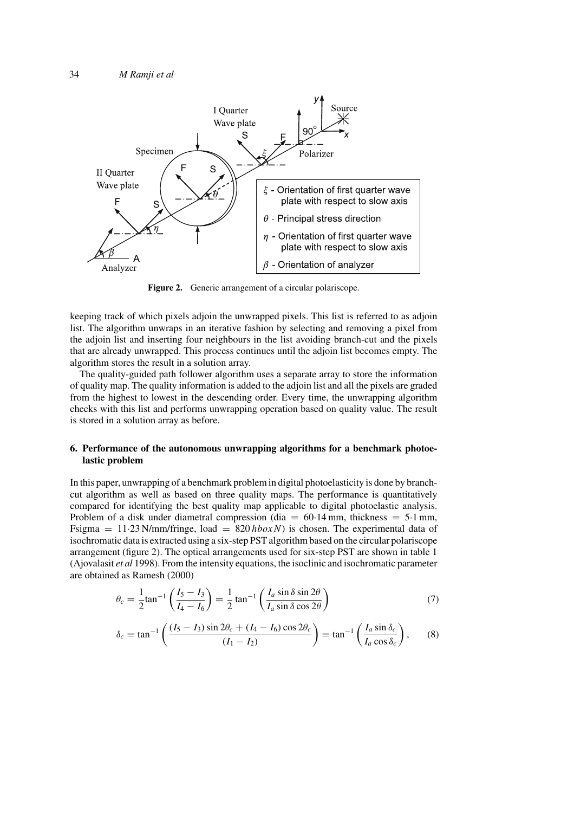

**Figure 2.** Generic arrangement of a circular polariscope.

keeping track of which pixels adjoin the unwrapped pixels. This list is referred to as adjoin list. The algorithm unwraps in an iterative fashion by selecting and removing a pixel from the adjoin list and inserting four neighbours in the list avoiding branch-cut and the pixels that are already unwrapped. This process continues until the adjoin list becomes empty. The algorithm stores the result in a solution array.

The quality-guided path follower algorithm uses a separate array to store the information of quality map. The quality information is added to the adjoin list and all the pixels are graded from the highest to lowest in the descending order. Every time, the unwrapping algorithm checks with this list and performs unwrapping operation based on quality value. The result is stored in a solution array as before.

### **6. Performance of the autonomous unwrapping algorithms for a benchmark photoelastic problem**

In this paper, unwrapping of a benchmark problem in digital photoelasticity is done by branchcut algorithm as well as based on three quality maps. The performance is quantitatively compared for identifying the best quality map applicable to digital photoelastic analysis. Problem of a disk under diametral compression (dia  $= 60.14$  mm, thickness  $= 5.1$  mm, Fsigma = 11.23 N/mm/fringe, load =  $820$  hbox N) is chosen. The experimental data of isochromatic data is extracted using a six-step PST algorithm based on the circular polariscope arrangement (figure 2). The optical arrangements used for six-step PST are shown in table 1 (Ajovalasit *et al* 1998). From the intensity equations, the isoclinic and isochromatic parameter are obtained as Ramesh (2000)

$$
\theta_c = \frac{1}{2} \tan^{-1} \left( \frac{I_5 - I_3}{I_4 - I_6} \right) = \frac{1}{2} \tan^{-1} \left( \frac{I_a \sin \delta \sin 2\theta}{I_a \sin \delta \cos 2\theta} \right) \tag{7}
$$

$$
\delta_c = \tan^{-1}\left(\frac{(I_5 - I_3)\sin 2\theta_c + (I_4 - I_6)\cos 2\theta_c}{(I_1 - I_2)}\right) = \tan^{-1}\left(\frac{I_a \sin \delta_c}{I_a \cos \delta_c}\right),\tag{8}
$$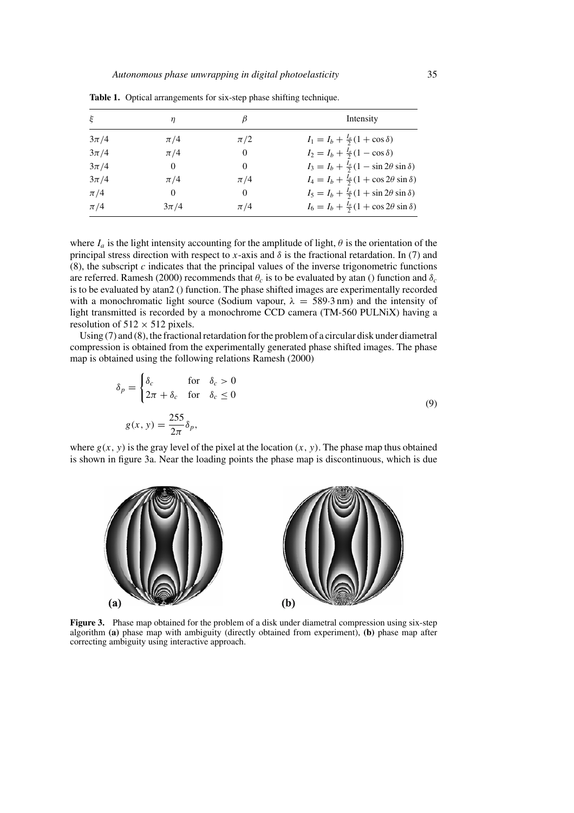| ξ        | η        |          | Intensity                                                 |
|----------|----------|----------|-----------------------------------------------------------|
| $3\pi/4$ | $\pi/4$  | $\pi/2$  | $I_1 = I_b + \frac{I_a}{2}(1 + \cos \delta)$              |
| $3\pi/4$ | $\pi/4$  | $\theta$ | $I_2 = I_b + \frac{I_a}{2}(1 - \cos \delta)$              |
| $3\pi/4$ | $\theta$ | $\theta$ | $I_3 = I_b + \frac{I_a}{2}(1 - \sin 2\theta \sin \delta)$ |
| $3\pi/4$ | $\pi/4$  | $\pi/4$  | $I_4 = I_b + \frac{I_a}{2}(1 + \cos 2\theta \sin \delta)$ |
| $\pi/4$  | $\theta$ | $\theta$ | $I_5 = I_b + \frac{I_a}{2}(1 + \sin 2\theta \sin \delta)$ |
| $\pi/4$  | $3\pi/4$ | $\pi/4$  | $I_6 = I_b + \frac{I_a}{2}(1 + \cos 2\theta \sin \delta)$ |

**Table 1.** Optical arrangements for six-step phase shifting technique.

where  $I_a$  is the light intensity accounting for the amplitude of light,  $\theta$  is the orientation of the principal stress direction with respect to x-axis and  $\delta$  is the fractional retardation. In (7) and  $(8)$ , the subscript c indicates that the principal values of the inverse trigonometric functions are referred. Ramesh (2000) recommends that  $\theta_c$  is to be evaluated by atan () function and  $\delta_c$ is to be evaluated by atan2 () function. The phase shifted images are experimentally recorded with a monochromatic light source (Sodium vapour,  $\lambda = 589.3$  nm) and the intensity of light transmitted is recorded by a monochrome CCD camera (TM-560 PULNiX) having a resolution of  $512 \times 512$  pixels.

Using (7) and (8), the fractional retardation for the problem of a circular disk under diametral compression is obtained from the experimentally generated phase shifted images. The phase map is obtained using the following relations Ramesh (2000)

$$
\delta_p = \begin{cases}\n\delta_c & \text{for } \delta_c > 0 \\
2\pi + \delta_c & \text{for } \delta_c \le 0\n\end{cases}
$$
\n(9)\n
$$
g(x, y) = \frac{255}{2\pi} \delta_p,
$$

where  $g(x, y)$  is the gray level of the pixel at the location  $(x, y)$ . The phase map thus obtained<br>is shown in figure 3a. Near the loading points the phase map is discontinuous, which is due is shown in figure 3a. Near the loading points the phase map is discontinuous, which is due



**Figure 3.** Phase map obtained for the problem of a disk under diametral compression using six-step algorithm **(a)** phase map with ambiguity (directly obtained from experiment), **(b)** phase map after correcting ambiguity using interactive approach.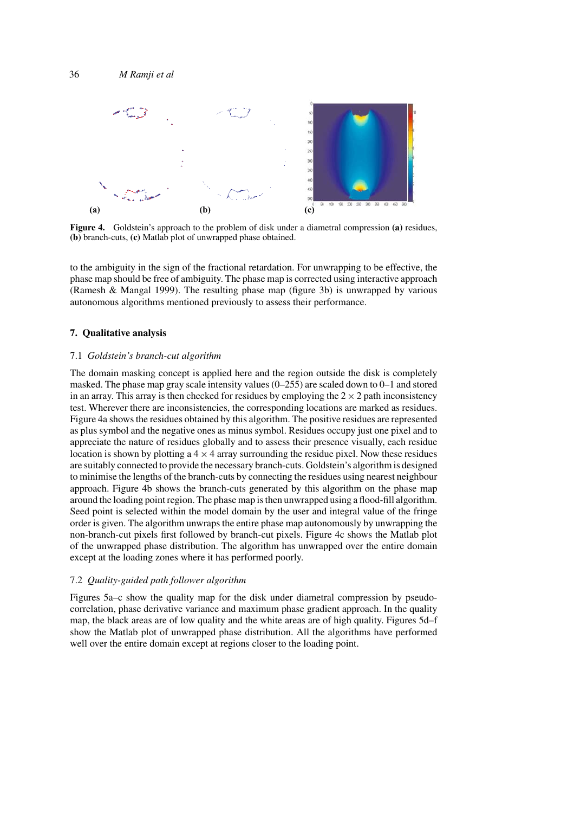

**Figure 4.** Goldstein's approach to the problem of disk under a diametral compression **(a)** residues, **(b)** branch-cuts, **(c)** Matlab plot of unwrapped phase obtained.

to the ambiguity in the sign of the fractional retardation. For unwrapping to be effective, the phase map should be free of ambiguity. The phase map is corrected using interactive approach (Ramesh & Mangal 1999). The resulting phase map (figure 3b) is unwrapped by various autonomous algorithms mentioned previously to assess their performance.

### **7. Qualitative analysis**

#### 7.1 *Goldstein's branch-cut algorithm*

The domain masking concept is applied here and the region outside the disk is completely masked. The phase map gray scale intensity values (0–255) are scaled down to 0–1 and stored in an array. This array is then checked for residues by employing the  $2 \times 2$  path inconsistency test. Wherever there are inconsistencies, the corresponding locations are marked as residues. Figure 4a shows the residues obtained by this algorithm. The positive residues are represented as plus symbol and the negative ones as minus symbol. Residues occupy just one pixel and to appreciate the nature of residues globally and to assess their presence visually, each residue location is shown by plotting a  $4 \times 4$  array surrounding the residue pixel. Now these residues are suitably connected to provide the necessary branch-cuts. Goldstein's algorithm is designed to minimise the lengths of the branch-cuts by connecting the residues using nearest neighbour approach. Figure 4b shows the branch-cuts generated by this algorithm on the phase map around the loading point region. The phase map is then unwrapped using a flood-fill algorithm. Seed point is selected within the model domain by the user and integral value of the fringe order is given. The algorithm unwraps the entire phase map autonomously by unwrapping the non-branch-cut pixels first followed by branch-cut pixels. Figure 4c shows the Matlab plot of the unwrapped phase distribution. The algorithm has unwrapped over the entire domain except at the loading zones where it has performed poorly.

### 7.2 *Quality-guided path follower algorithm*

Figures 5a–c show the quality map for the disk under diametral compression by pseudocorrelation, phase derivative variance and maximum phase gradient approach. In the quality map, the black areas are of low quality and the white areas are of high quality. Figures 5d–f show the Matlab plot of unwrapped phase distribution. All the algorithms have performed well over the entire domain except at regions closer to the loading point.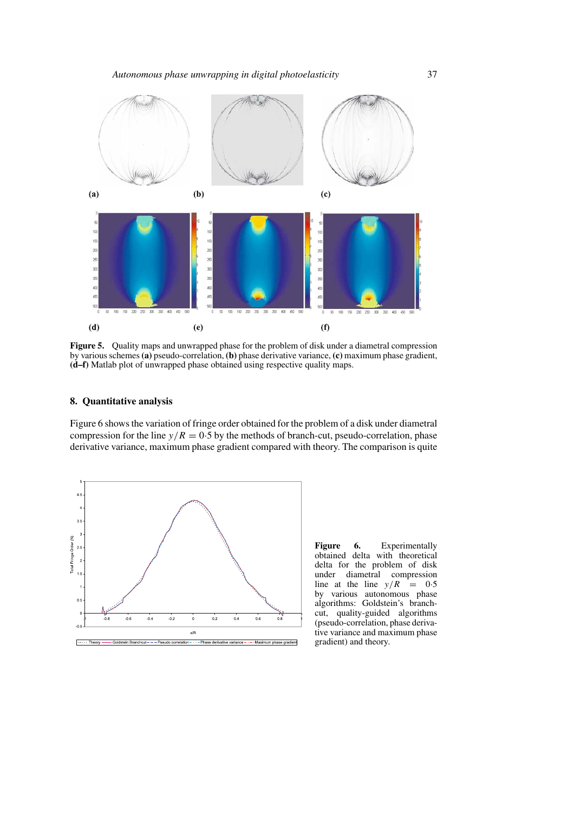

**Figure 5.** Quality maps and unwrapped phase for the problem of disk under a diametral compression by various schemes**(a)** pseudo-correlation, **(b)** phase derivative variance, **(c)** maximum phase gradient, **(d–f)** Matlab plot of unwrapped phase obtained using respective quality maps.

### **8. Quantitative analysis**

Figure 6 shows the variation of fringe order obtained for the problem of a disk under diametral compression for the line  $y/R = 0.5$  by the methods of branch-cut, pseudo-correlation, phase derivative variance, maximum phase gradient compared with theory. The comparison is quite



**Figure 6.** Experimentally obtained delta with theoretical delta for the problem of disk<br>under diametral compression diametral compression line at the line  $y/R = 0.5$ by various autonomous phase algorithms: Goldstein's branchcut, quality-guided algorithms (pseudo-correlation, phase derivative variance and maximum phase gradient) and theory.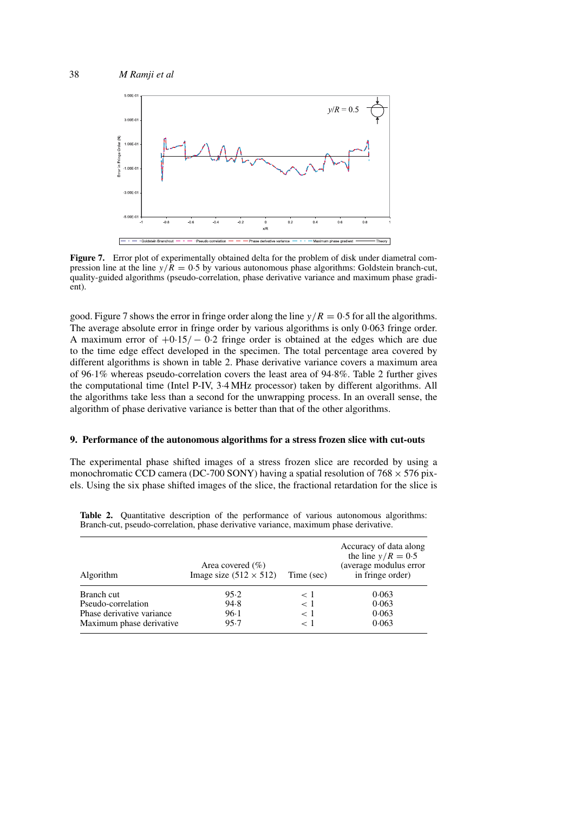

**Figure 7.** Error plot of experimentally obtained delta for the problem of disk under diametral compression line at the line  $y/R = 0.5$  by various autonomous phase algorithms: Goldstein branch-cut, quality-guided algorithms (pseudo-correlation, phase derivative variance and maximum phase gradient).

good. Figure 7 shows the error in fringe order along the line  $y/R = 0.5$  for all the algorithms. The average absolute error in fringe order by various algorithms is only 0·063 fringe order. A maximum error of  $+0.15/- 0.2$  fringe order is obtained at the edges which are due to the time edge effect developed in the specimen. The total percentage area covered by different algorithms is shown in table 2. Phase derivative variance covers a maximum area of 96·1% whereas pseudo-correlation covers the least area of 94·8%. Table 2 further gives the computational time (Intel P-IV, 3·4 MHz processor) taken by different algorithms. All the algorithms take less than a second for the unwrapping process. In an overall sense, the algorithm of phase derivative variance is better than that of the other algorithms.

#### **9. Performance of the autonomous algorithms for a stress frozen slice with cut-outs**

The experimental phase shifted images of a stress frozen slice are recorded by using a monochromatic CCD camera (DC-700 SONY) having a spatial resolution of 768  $\times$  576 pixels. Using the six phase shifted images of the slice, the fractional retardation for the slice is

| Algorithm                 | Area covered $(\% )$<br>Image size $(512 \times 512)$ | Time (sec)  | Accuracy of data along<br>the line $y/R = 0.5$<br>(average modulus error<br>in fringe order) |
|---------------------------|-------------------------------------------------------|-------------|----------------------------------------------------------------------------------------------|
| Branch cut                | 95.2                                                  | $\langle$ 1 | 0.063                                                                                        |
| Pseudo-correlation        | 94.8                                                  | $<$ 1       | 0.063                                                                                        |
| Phase derivative variance | 96.1                                                  | $\langle 1$ | 0.063                                                                                        |
| Maximum phase derivative  | 95.7                                                  | < 1         | 0.063                                                                                        |

**Table 2.** Quantitative description of the performance of various autonomous algorithms: Branch-cut, pseudo-correlation, phase derivative variance, maximum phase derivative.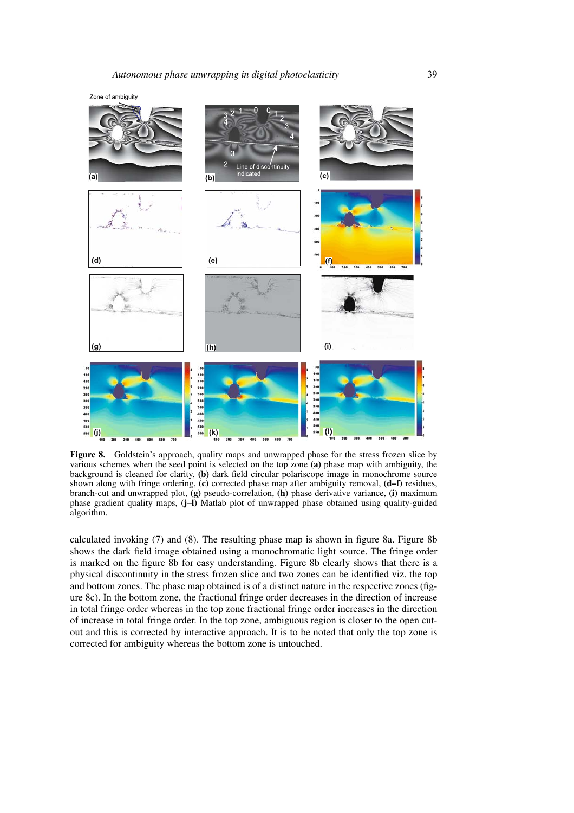

**Figure 8.** Goldstein's approach, quality maps and unwrapped phase for the stress frozen slice by various schemes when the seed point is selected on the top zone **(a)** phase map with ambiguity, the background is cleaned for clarity, **(b)** dark field circular polariscope image in monochrome source shown along with fringe ordering, **(c)** corrected phase map after ambiguity removal, **(d–f)** residues, branch-cut and unwrapped plot, **(g)** pseudo-correlation, **(h)** phase derivative variance, **(i)** maximum phase gradient quality maps, **(j–l)** Matlab plot of unwrapped phase obtained using quality-guided algorithm.

calculated invoking (7) and (8). The resulting phase map is shown in figure 8a. Figure 8b shows the dark field image obtained using a monochromatic light source. The fringe order is marked on the figure 8b for easy understanding. Figure 8b clearly shows that there is a physical discontinuity in the stress frozen slice and two zones can be identified viz. the top and bottom zones. The phase map obtained is of a distinct nature in the respective zones (figure 8c). In the bottom zone, the fractional fringe order decreases in the direction of increase in total fringe order whereas in the top zone fractional fringe order increases in the direction of increase in total fringe order. In the top zone, ambiguous region is closer to the open cutout and this is corrected by interactive approach. It is to be noted that only the top zone is corrected for ambiguity whereas the bottom zone is untouched.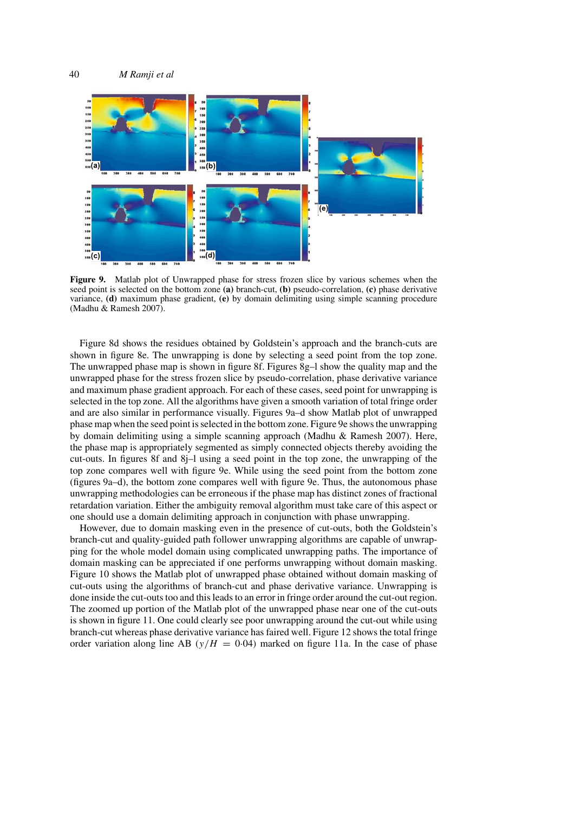

**Figure 9.** Matlab plot of Unwrapped phase for stress frozen slice by various schemes when the seed point is selected on the bottom zone **(a)** branch-cut, **(b)** pseudo-correlation, **(c)** phase derivative variance, **(d)** maximum phase gradient, **(e)** by domain delimiting using simple scanning procedure (Madhu & Ramesh 2007).

Figure 8d shows the residues obtained by Goldstein's approach and the branch-cuts are shown in figure 8e. The unwrapping is done by selecting a seed point from the top zone. The unwrapped phase map is shown in figure 8f. Figures  $8g-1$  show the quality map and the unwrapped phase for the stress frozen slice by pseudo-correlation, phase derivative variance and maximum phase gradient approach. For each of these cases, seed point for unwrapping is selected in the top zone. All the algorithms have given a smooth variation of total fringe order and are also similar in performance visually. Figures 9a–d show Matlab plot of unwrapped phase map when the seed point is selected in the bottom zone. Figure 9e shows the unwrapping by domain delimiting using a simple scanning approach (Madhu & Ramesh 2007). Here, the phase map is appropriately segmented as simply connected objects thereby avoiding the cut-outs. In figures 8f and  $8j-1$  using a seed point in the top zone, the unwrapping of the top zone compares well with figure 9e. While using the seed point from the bottom zone (figures 9a–d), the bottom zone compares well with figure 9e. Thus, the autonomous phase unwrapping methodologies can be erroneous if the phase map has distinct zones of fractional retardation variation. Either the ambiguity removal algorithm must take care of this aspect or one should use a domain delimiting approach in conjunction with phase unwrapping.

However, due to domain masking even in the presence of cut-outs, both the Goldstein's branch-cut and quality-guided path follower unwrapping algorithms are capable of unwrapping for the whole model domain using complicated unwrapping paths. The importance of domain masking can be appreciated if one performs unwrapping without domain masking. Figure 10 shows the Matlab plot of unwrapped phase obtained without domain masking of cut-outs using the algorithms of branch-cut and phase derivative variance. Unwrapping is done inside the cut-outs too and this leads to an error in fringe order around the cut-out region. The zoomed up portion of the Matlab plot of the unwrapped phase near one of the cut-outs is shown in figure 11. One could clearly see poor unwrapping around the cut-out while using branch-cut whereas phase derivative variance has faired well. Figure 12 shows the total fringe order variation along line AB ( $y/H = 0.04$ ) marked on figure 11a. In the case of phase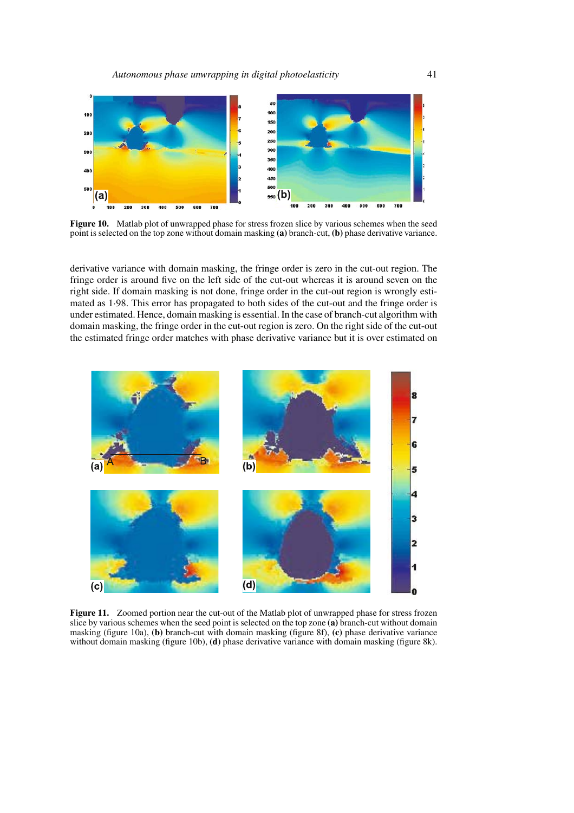

**Figure 10.** Matlab plot of unwrapped phase for stress frozen slice by various schemes when the seed point is selected on the top zone without domain masking **(a)** branch-cut, **(b)** phase derivative variance.

derivative variance with domain masking, the fringe order is zero in the cut-out region. The fringe order is around five on the left side of the cut-out whereas it is around seven on the right side. If domain masking is not done, fringe order in the cut-out region is wrongly estimated as 1·98. This error has propagated to both sides of the cut-out and the fringe order is under estimated. Hence, domain masking is essential. In the case of branch-cut algorithm with domain masking, the fringe order in the cut-out region is zero. On the right side of the cut-out the estimated fringe order matches with phase derivative variance but it is over estimated on



**Figure 11.** Zoomed portion near the cut-out of the Matlab plot of unwrapped phase for stress frozen slice by various schemes when the seed point is selected on the top zone **(a)** branch-cut without domain masking (figure 10a), **(b)** branch-cut with domain masking (figure 8f), **(c)** phase derivative variance without domain masking (figure 10b), **(d)** phase derivative variance with domain masking (figure 8k).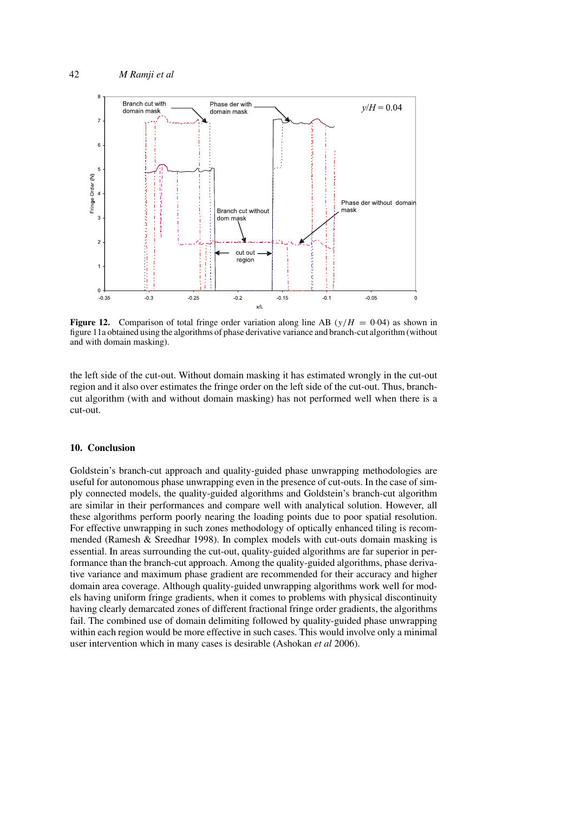

**Figure 12.** Comparison of total fringe order variation along line AB ( $y/H = 0.04$ ) as shown in figure 11a obtained using the algorithms of phase derivative variance and branch-cut algorithm (without and with domain masking).

the left side of the cut-out. Without domain masking it has estimated wrongly in the cut-out region and it also over estimates the fringe order on the left side of the cut-out. Thus, branchcut algorithm (with and without domain masking) has not performed well when there is a cut-out.

#### **10. Conclusion**

Goldstein's branch-cut approach and quality-guided phase unwrapping methodologies are useful for autonomous phase unwrapping even in the presence of cut-outs. In the case of simply connected models, the quality-guided algorithms and Goldstein's branch-cut algorithm are similar in their performances and compare well with analytical solution. However, all these algorithms perform poorly nearing the loading points due to poor spatial resolution. For effective unwrapping in such zones methodology of optically enhanced tiling is recommended (Ramesh & Sreedhar 1998). In complex models with cut-outs domain masking is essential. In areas surrounding the cut-out, quality-guided algorithms are far superior in performance than the branch-cut approach. Among the quality-guided algorithms, phase derivative variance and maximum phase gradient are recommended for their accuracy and higher domain area coverage. Although quality-guided unwrapping algorithms work well for models having uniform fringe gradients, when it comes to problems with physical discontinuity having clearly demarcated zones of different fractional fringe order gradients, the algorithms fail. The combined use of domain delimiting followed by quality-guided phase unwrapping within each region would be more effective in such cases. This would involve only a minimal user intervention which in many cases is desirable (Ashokan *et al* 2006).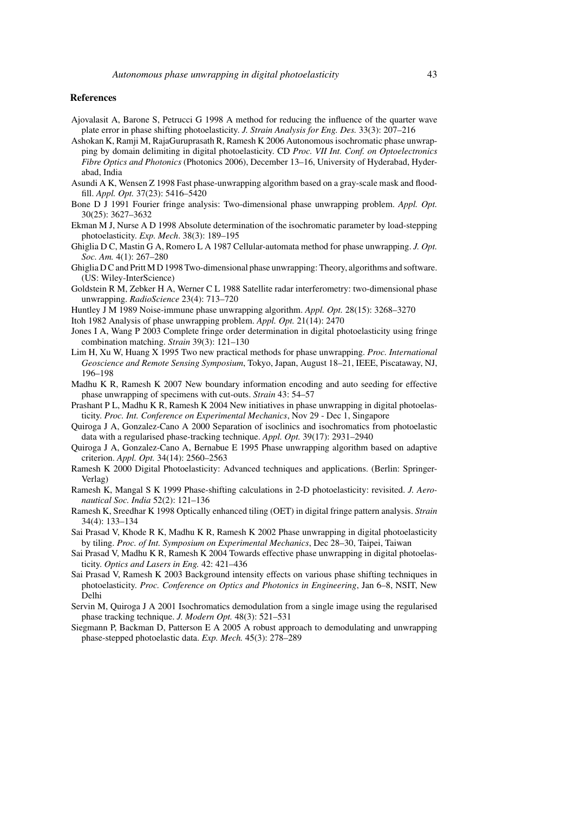#### **References**

- Ajovalasit A, Barone S, Petrucci G 1998 A method for reducing the influence of the quarter wave plate error in phase shifting photoelasticity. *J. Strain Analysis for Eng. Des.* 33(3): 207–216
- Ashokan K, Ramji M, RajaGuruprasath R, Ramesh K 2006 Autonomous isochromatic phase unwrapping by domain delimiting in digital photoelasticity. CD *Proc. VII Int. Conf. on Optoelectronics Fibre Optics and Photonics* (Photonics 2006), December 13–16, University of Hyderabad, Hyderabad, India
- Asundi A K, Wensen Z 1998 Fast phase-unwrapping algorithm based on a gray-scale mask and floodfill. *Appl. Opt.* 37(23): 5416–5420
- Bone D J 1991 Fourier fringe analysis: Two-dimensional phase unwrapping problem. *Appl. Opt.* 30(25): 3627–3632
- Ekman M J, Nurse A D 1998 Absolute determination of the isochromatic parameter by load-stepping photoelasticity. *Exp. Mech*. 38(3): 189–195
- Ghiglia D C, Mastin G A, Romero L A 1987 Cellular-automata method for phase unwrapping. *J. Opt. Soc. Am.* 4(1): 267–280
- Ghiglia D C and Pritt M D 1998 Two-dimensional phase unwrapping: Theory, algorithms and software. (US: Wiley-InterScience)
- Goldstein R M, Zebker H A, Werner C L 1988 Satellite radar interferometry: two-dimensional phase unwrapping. *RadioScience* 23(4): 713–720
- Huntley J M 1989 Noise-immune phase unwrapping algorithm. *Appl. Opt.* 28(15): 3268–3270
- Itoh 1982 Analysis of phase unwrapping problem. *Appl. Opt.* 21(14): 2470
- Jones I A, Wang P 2003 Complete fringe order determination in digital photoelasticity using fringe combination matching. *Strain* 39(3): 121–130
- Lim H, Xu W, Huang X 1995 Two new practical methods for phase unwrapping. *Proc. International Geoscience and Remote Sensing Symposium*, Tokyo, Japan, August 18–21, IEEE, Piscataway, NJ, 196–198
- Madhu K R, Ramesh K 2007 New boundary information encoding and auto seeding for effective phase unwrapping of specimens with cut-outs. *Strain* 43: 54–57
- Prashant P L, Madhu K R, Ramesh K 2004 New initiatives in phase unwrapping in digital photoelasticity. *Proc. Int. Conference on Experimental Mechanics*, Nov 29 - Dec 1, Singapore
- Quiroga J A, Gonzalez-Cano A 2000 Separation of isoclinics and isochromatics from photoelastic data with a regularised phase-tracking technique. *Appl. Opt.* 39(17): 2931–2940
- Quiroga J A, Gonzalez-Cano A, Bernabue E 1995 Phase unwrapping algorithm based on adaptive criterion. *Appl. Opt.* 34(14): 2560–2563
- Ramesh K 2000 Digital Photoelasticity: Advanced techniques and applications. (Berlin: Springer-Verlag)
- Ramesh K, Mangal S K 1999 Phase-shifting calculations in 2-D photoelasticity: revisited. *J. Aeronautical Soc. India* 52(2): 121–136
- Ramesh K, Sreedhar K 1998 Optically enhanced tiling (OET) in digital fringe pattern analysis. *Strain* 34(4): 133–134
- Sai Prasad V, Khode R K, Madhu K R, Ramesh K 2002 Phase unwrapping in digital photoelasticity by tiling. *Proc. of Int. Symposium on Experimental Mechanics*, Dec 28–30, Taipei, Taiwan
- Sai Prasad V, Madhu K R, Ramesh K 2004 Towards effective phase unwrapping in digital photoelasticity. *Optics and Lasers in Eng.* 42: 421–436
- Sai Prasad V, Ramesh K 2003 Background intensity effects on various phase shifting techniques in photoelasticity. *Proc. Conference on Optics and Photonics in Engineering*, Jan 6–8, NSIT, New Delhi
- Servin M, Quiroga J A 2001 Isochromatics demodulation from a single image using the regularised phase tracking technique. *J. Modern Opt.* 48(3): 521–531
- Siegmann P, Backman D, Patterson E A 2005 A robust approach to demodulating and unwrapping phase-stepped photoelastic data. *Exp. Mech.* 45(3): 278–289